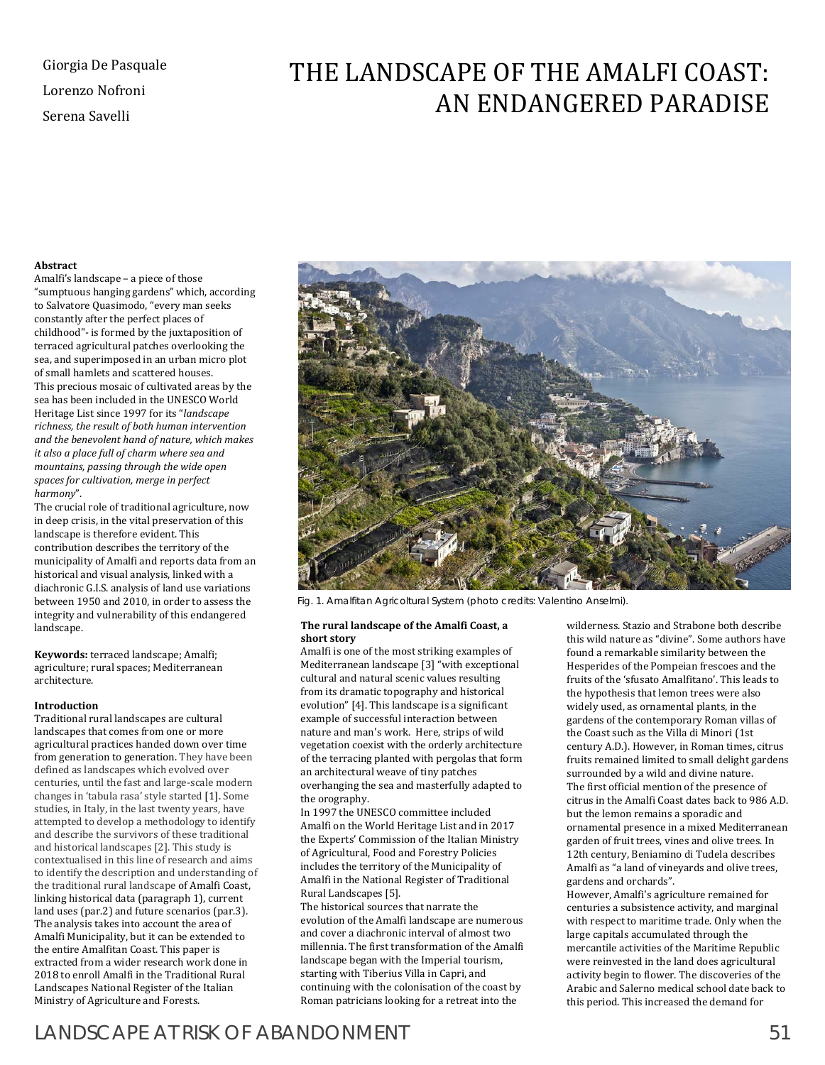# Giorgia De Pasquale Lorenzo Nofroni Serena Savelli

# THE LANDSCAPE OF THE AMALFI COAST: AN ENDANGERED PARADISE

# **Abstract**

Amalfi's landscape – a piece of those "sumptuous hanging gardens" which, according to Salvatore Quasimodo, "every man seeks constantly after the perfect places of childhood"- is formed by the juxtaposition of terraced agricultural patches overlooking the sea, and superimposed in an urban micro plot of small hamlets and scattered houses. This precious mosaic of cultivated areas by the sea has been included in the UNESCO World Heritage List since 1997 for its "*landscape richness, the result of both human intervention and the benevolent hand of nature, which makes it also a place full of charm where sea and mountains, passing through the wide open spaces for cultivation, merge in perfect harmony*".

The crucial role of traditional agriculture, now in deep crisis, in the vital preservation of this landscape is therefore evident. This contribution describes the territory of the municipality of Amalfi and reports data from an historical and visual analysis, linked with a diachronic G.I.S. analysis of land use variations between 1950 and 2010, in order to assess the integrity and vulnerability of this endangered landscape.

**Keywords:** terraced landscape; Amalfi; agriculture; rural spaces; Mediterranean architecture.

# **Introduction**

Traditional rural landscapes are cultural landscapes that comes from one or more agricultural practices handed down over time from generation to generation. They have been defined as landscapes which evolved over centuries, until the fast and large-scale modern changes in 'tabula rasa' style started [1]. Some studies, in Italy, in the last twenty years, have attempted to develop a methodology to identify and describe the survivors of these traditional and historical landscapes [2]. This study is contextualised in this line of research and aims to identify the description and understanding of the traditional rural landscape of Amalfi Coast, linking historical data (paragraph 1), current land uses (par.2) and future scenarios (par.3). The analysis takes into account the area of Amalfi Municipality, but it can be extended to the entire Amalfitan Coast. This paper is extracted from a wider research work done in 2018 to enroll Amalfi in the Traditional Rural Landscapes National Register of the Italian Ministry of Agriculture and Forests.



Fig. 1. Amalfitan Agricoltural System (photo credits: Valentino Anselmi).

#### **The rural landscape of the Amalfi Coast, a short story**

Amalfi is one of the most striking examples of Mediterranean landscape [3] "with exceptional cultural and natural scenic values resulting from its dramatic topography and historical evolution" [4]. This landscape is a significant example of successful interaction between nature and man's work. Here, strips of wild vegetation coexist with the orderly architecture of the terracing planted with pergolas that form an architectural weave of tiny patches overhanging the sea and masterfully adapted to the orography.

In 1997 the UNESCO committee included Amalfi on the World Heritage List and in 2017 the Experts' Commission of the Italian Ministry of Agricultural, Food and Forestry Policies includes the territory of the Municipality of Amalfi in the National Register of Traditional Rural Landscapes [5].

The historical sources that narrate the evolution of the Amalfi landscape are numerous and cover a diachronic interval of almost two millennia. The first transformation of the Amalfi landscape began with the Imperial tourism, starting with Tiberius Villa in Capri, and continuing with the colonisation of the coast by Roman patricians looking for a retreat into the

wilderness. Stazio and Strabone both describe this wild nature as "divine". Some authors have found a remarkable similarity between the Hesperides of the Pompeian frescoes and the fruits of the 'sfusato Amalfitano'. This leads to the hypothesis that lemon trees were also widely used, as ornamental plants, in the gardens of the contemporary Roman villas of the Coast such as the Villa di Minori (1st century A.D.). However, in Roman times, citrus fruits remained limited to small delight gardens surrounded by a wild and divine nature. The first official mention of the presence of citrus in the Amalfi Coast dates back to 986 A.D. but the lemon remains a sporadic and ornamental presence in a mixed Mediterranean garden of fruit trees, vines and olive trees. In 12th century, Beniamino di Tudela describes Amalfi as "a land of vineyards and olive trees, gardens and orchards".

However, Amalfi's agriculture remained for centuries a subsistence activity, and marginal with respect to maritime trade. Only when the large capitals accumulated through the mercantile activities of the Maritime Republic were reinvested in the land does agricultural activity begin to flower. The discoveries of the Arabic and Salerno medical school date back to this period. This increased the demand for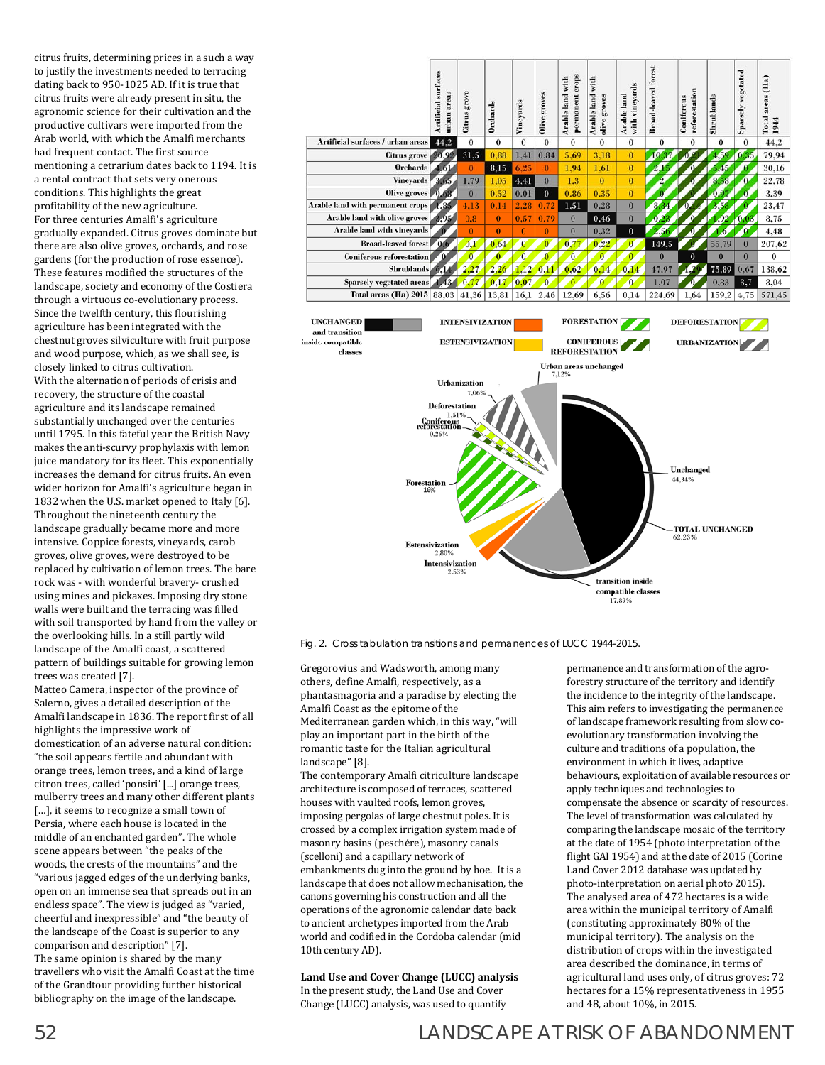citrus fruits, determining prices in a such a way to justify the investments needed to terracing dating back to 950-1025 AD. If it is true that citrus fruits were already present in situ, the agronomic science for their cultivation and the productive cultivars were imported from the Arab world, with which the Amalfi merchants had frequent contact. The first source mentioning a cetrarium dates back to 1194. It is a rental contract that sets very onerous conditions. This highlights the great profitability of the new agriculture. For three centuries Amalfi's agriculture gradually expanded. Citrus groves dominate but there are also olive groves, orchards, and rose gardens (for the production of rose essence). These features modified the structures of the landscape, society and economy of the Costiera through a virtuous co-evolutionary process. Since the twelfth century, this flourishing agriculture has been integrated with the chestnut groves silviculture with fruit purpose and wood purpose, which, as we shall see, is closely linked to citrus cultivation. With the alternation of periods of crisis and recovery, the structure of the coastal agriculture and its landscape remained substantially unchanged over the centuries until 1795. In this fateful year the British Navy makes the anti-scurvy prophylaxis with lemon juice mandatory for its fleet. This exponentially increases the demand for citrus fruits. An even wider horizon for Amalfi's agriculture began in 1832 when the U.S. market opened to Italy [6]. Throughout the nineteenth century the landscape gradually became more and more intensive. Coppice forests, vineyards, carob groves, olive groves, were destroyed to be replaced by cultivation of lemon trees. The bare rock was - with wonderful bravery- crushed using mines and pickaxes. Imposing dry stone walls were built and the terracing was filled with soil transported by hand from the valley or the overlooking hills. In a still partly wild landscape of the Amalfi coast, a scattered pattern of buildings suitable for growing lemon trees was created [7].

Matteo Camera, inspector of the province of Salerno, gives a detailed description of the Amalfi landscape in 1836. The report first of all highlights the impressive work of domestication of an adverse natural condition: "the soil appears fertile and abundant with orange trees, lemon trees, and a kind of large citron trees, called 'ponsiri' [...] orange trees, mulberry trees and many other different plants [...], it seems to recognize a small town of Persia, where each house is located in the middle of an enchanted garden". The whole scene appears between "the peaks of the woods, the crests of the mountains" and the "various jagged edges of the underlying banks, open on an immense sea that spreads out in an endless space". The view is judged as "varied, cheerful and inexpressible" and "the beauty of the landscape of the Coast is superior to any comparison and description" [7]. The same opinion is shared by the many travellers who visit the Amalfi Coast at the time of the Grandtour providing further historical bibliography on the image of the landscape.



Fig. 2. Cross tabulation transitions and permanences of LUCC 1944-2015.

Gregorovius and Wadsworth, among many others, define Amalfi, respectively, as a phantasmagoria and a paradise by electing the Amalfi Coast as the epitome of the Mediterranean garden which, in this way, "will play an important part in the birth of the romantic taste for the Italian agricultural landscape" [8].

The contemporary Amalfi citriculture landscape architecture is composed of terraces, scattered houses with vaulted roofs, lemon groves, imposing pergolas of large chestnut poles. It is crossed by a complex irrigation system made of masonry basins (peschére), masonry canals (scelloni) and a capillary network of embankments dug into the ground by hoe. It is a landscape that does not allow mechanisation, the canons governing his construction and all the operations of the agronomic calendar date back to ancient archetypes imported from the Arab world and codified in the Cordoba calendar (mid 10th century AD).

**Land Use and Cover Change (LUCC) analysis** In the present study, the Land Use and Cover Change (LUCC) analysis, was used to quantify

permanence and transformation of the agroforestry structure of the territory and identify the incidence to the integrity of the landscape. This aim refers to investigating the permanence of landscape framework resulting from slow coevolutionary transformation involving the culture and traditions of a population, the environment in which it lives, adaptive behaviours, exploitation of available resources or apply techniques and technologies to compensate the absence or scarcity of resources. The level of transformation was calculated by comparing the landscape mosaic of the territory at the date of 1954 (photo interpretation of the flight GAI 1954) and at the date of 2015 (Corine Land Cover 2012 database was updated by photo-interpretation on aerial photo 2015). The analysed area of 472 hectares is a wide area within the municipal territory of Amalfi (constituting approximately 80% of the municipal territory). The analysis on the distribution of crops within the investigated area described the dominance, in terms of agricultural land uses only, of citrus groves: 72 hectares for a 15% representativeness in 1955 and 48, about 10%, in 2015.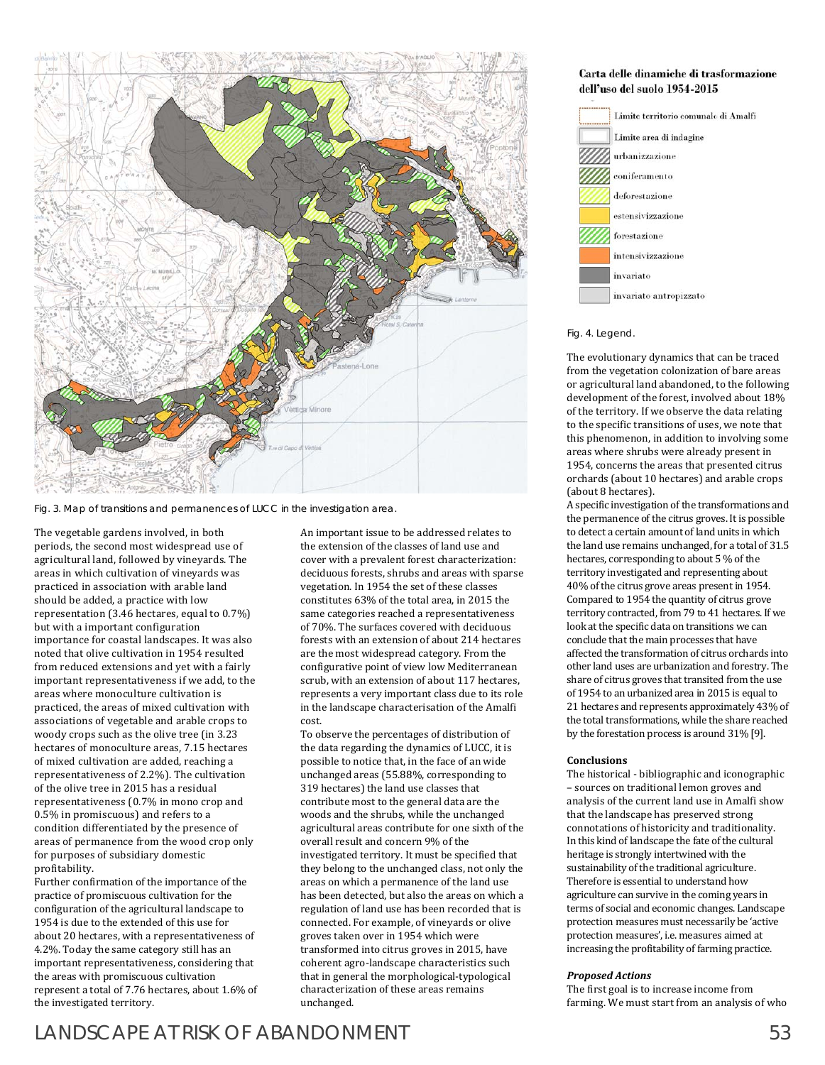

Fig. 3. Map of transitions and permanences of LUCC in the investigation area.

The vegetable gardens involved, in both periods, the second most widespread use of agricultural land, followed by vineyards. The areas in which cultivation of vineyards was practiced in association with arable land should be added, a practice with low representation (3.46 hectares, equal to 0.7%) but with a important configuration importance for coastal landscapes. It was also noted that olive cultivation in 1954 resulted from reduced extensions and yet with a fairly important representativeness if we add, to the areas where monoculture cultivation is practiced, the areas of mixed cultivation with associations of vegetable and arable crops to woody crops such as the olive tree (in 3.23 hectares of monoculture areas, 7.15 hectares of mixed cultivation are added, reaching a representativeness of 2.2%). The cultivation of the olive tree in 2015 has a residual representativeness (0.7% in mono crop and 0.5% in promiscuous) and refers to a condition differentiated by the presence of areas of permanence from the wood crop only for purposes of subsidiary domestic profitability.

Further confirmation of the importance of the practice of promiscuous cultivation for the configuration of the agricultural landscape to 1954 is due to the extended of this use for about 20 hectares, with a representativeness of 4.2%. Today the same category still has an important representativeness, considering that the areas with promiscuous cultivation represent a total of 7.76 hectares, about 1.6% of the investigated territory.

An important issue to be addressed relates to the extension of the classes of land use and cover with a prevalent forest characterization: deciduous forests, shrubs and areas with sparse vegetation. In 1954 the set of these classes constitutes 63% of the total area, in 2015 the same categories reached a representativeness of 70%. The surfaces covered with deciduous forests with an extension of about 214 hectares are the most widespread category. From the configurative point of view low Mediterranean scrub, with an extension of about 117 hectares, represents a very important class due to its role in the landscape characterisation of the Amalfi cost.

To observe the percentages of distribution of the data regarding the dynamics of LUCC, it is possible to notice that, in the face of an wide unchanged areas (55.88%, corresponding to 319 hectares) the land use classes that contribute most to the general data are the woods and the shrubs, while the unchanged agricultural areas contribute for one sixth of the overall result and concern 9% of the investigated territory. It must be specified that they belong to the unchanged class, not only the areas on which a permanence of the land use has been detected, but also the areas on which a regulation of land use has been recorded that is connected. For example, of vineyards or olive groves taken over in 1954 which were transformed into citrus groves in 2015, have coherent agro-landscape characteristics such that in general the morphological-typological characterization of these areas remains unchanged.



# Fig. 4. Legend.

The evolutionary dynamics that can be traced from the vegetation colonization of bare areas or agricultural land abandoned, to the following development of the forest, involved about 18% of the territory. If we observe the data relating to the specific transitions of uses, we note that this phenomenon, in addition to involving some areas where shrubs were already present in 1954, concerns the areas that presented citrus orchards (about 10 hectares) and arable crops (about 8 hectares).

A specific investigation of the transformations and the permanence of the citrus groves. It is possible to detect a certain amount of land units in which the land use remains unchanged, for a total of 31.5 hectares, corresponding to about 5 % of the territory investigated and representing about 40% of the citrus grove areas present in 1954. Compared to 1954 the quantity of citrus grove territory contracted, from 79 to 41 hectares. If we look at the specific data on transitions we can conclude that the main processes that have affected the transformation of citrus orchards into other land uses are urbanization and forestry. The share of citrus groves that transited from the use of 1954 to an urbanized area in 2015 is equal to 21 hectares and represents approximately 43% of the total transformations, while the share reached by the forestation process is around 31% [9].

# **Conclusions**

The historical - bibliographic and iconographic – sources on traditional lemon groves and analysis of the current land use in Amalfi show that the landscape has preserved strong connotations of historicity and traditionality. In this kind of landscape the fate of the cultural heritage is strongly intertwined with the sustainability of the traditional agriculture. Therefore is essential to understand how agriculture can survive in the coming years in terms of social and economic changes. Landscape protection measures must necessarily be 'active protection measures', i.e. measures aimed at increasing the profitability of farming practice.

#### *Proposed Actions*

The first goal is to increase income from farming. We must start from an analysis of who